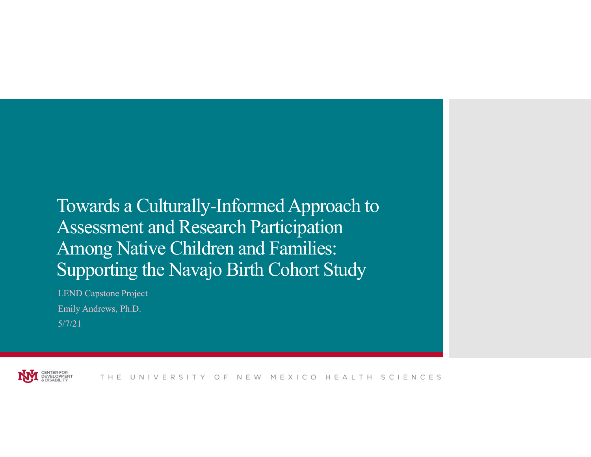## Towards a Culturally-Informed Approach to Assessment and Research Participation Among Native Children and Families: Supporting the Navajo Birth Cohort Study

LEND Capstone Project Emily Andrews, Ph.D. 5/7/21



THE UNIVERSITY OF NEW MEXICO HEALTH SCIENCES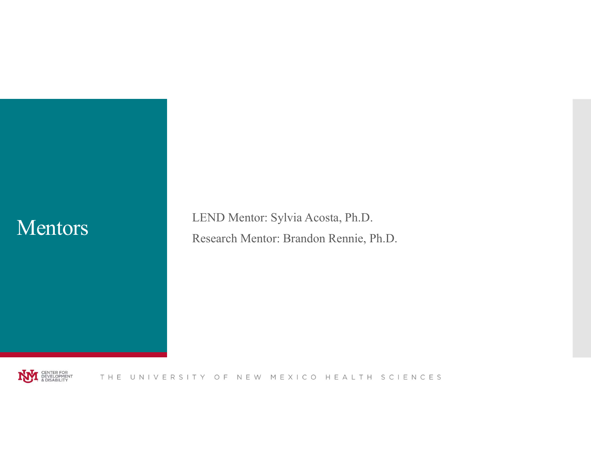Mentors LEND Mentor: Sylvia Acosta, Ph.D. Research Mentor: Brandon Rennie, Ph.D.

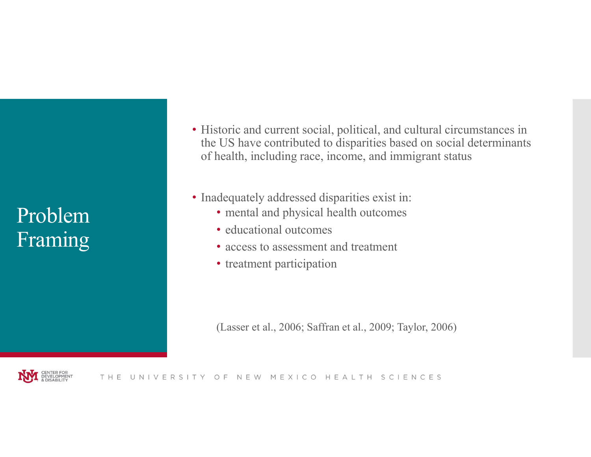## Problem Framing

- Historic and current social, political, and cultural circumstances in the US have contributed to disparities based on social determinants of health, including race, income, and immigrant status US have contributed to disparities based on social determinants<br>nealth, including race, income, and immigrant status<br>dequately addressed disparities exist in:<br> $\cdot$  mental and physical health outcomes<br> $\cdot$  access to assess
- Inadequately addressed disparities exist in:
	- mental and physical health outcomes
	- educational outcomes
	- access to assessment and treatment
	- treatment participation

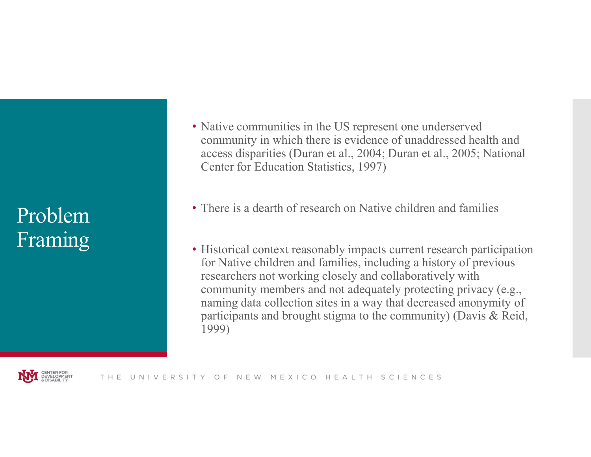## Problem Framing

- Native communities in the US represent one underserved community in which there is evidence of unaddressed health and access disparities (Duran et al., 2004; Duran et al., 2005; National Center for Education Statistics, 1997)
- There is a dearth of research on Native children and families
- Historical context reasonably impacts current research participation for Native children and families, including a history of previous researchers not working closely and collaboratively with community members and not adequately protecting privacy (e.g., naming data collection sites in a way that decreased anonymity of participants and brought stigma to the community) (Davis & Reid, 1999)

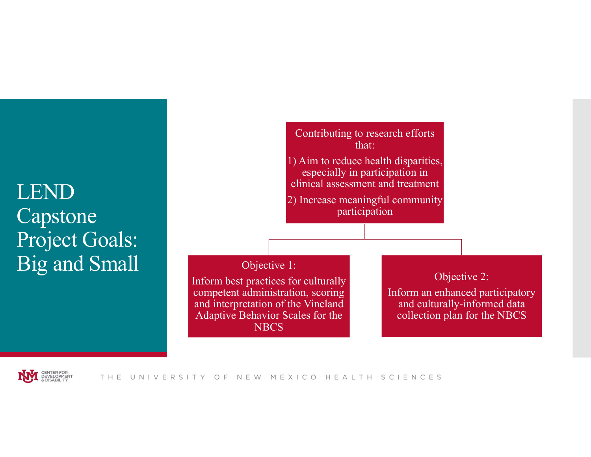## LEND Capstone Project Goals: Big and Small



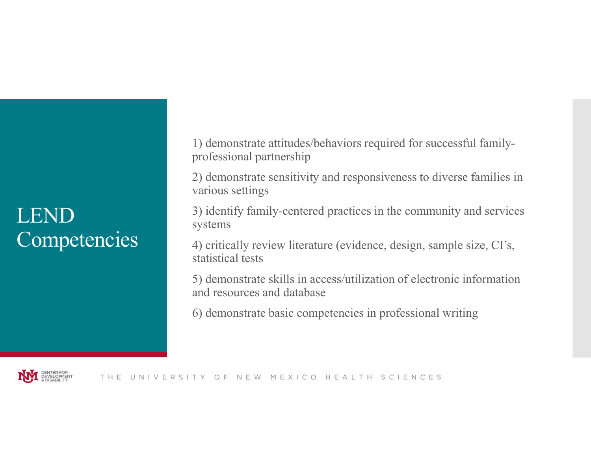## LEND **Competencies**

1) demonstrate attitudes/behaviors required for successful familyprofessional partnership

2) demonstrate sensitivity and responsiveness to diverse families in various settings

3) identify family-centered practices in the community and services systems

4) critically review literature (evidence, design, sample size, CI's, statistical tests

5) demonstrate skills in access/utilization of electronic information and resources and database

6) demonstrate basic competencies in professional writing

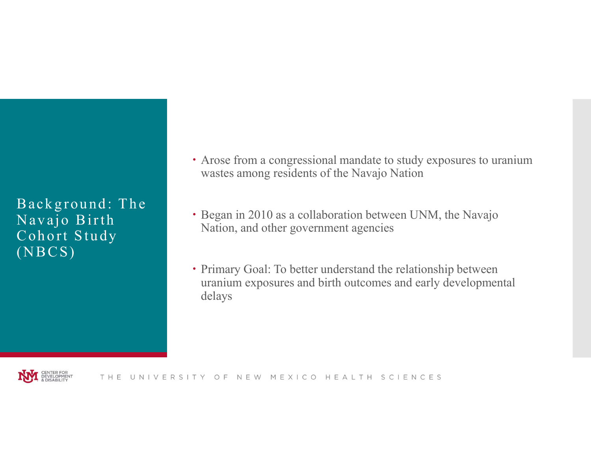# Ba c k g r o un d:<br>
Ba c k g r o un d:<br>
The Navajo Birth<br>
Navajo Birth<br>
Cohort Study<br>
(NBCS) Arose from a congressional material materials of the Maryland: The Navajo Birth Cohort Study<br>
N a vajo Birth Cohort Study<br>
N a vajo Birth Mation, and other government<br>
N a vajo Birth Mation, and other government<br>
N a valis Consider the Mackground: The Cohort Study<br>
Consider the National Consistence of the National Cohort Study<br>
Cohort Study<br>
Cohort Study<br>
Cohort Study<br>
Cohort Study<br>
Cohort Study<br>
Cohort Study<br>
Cohort Study<br>
Cohort Study<br>
Coh Rackground: The<br>
Navajo Birth<br>
Cohort Study<br>
Navajo Birth<br>
Cohort Study<br>
(NBCS)<br>
Consequence of the Consequence of the Consequence of the Consequence of the Cohort Study<br>
Cohort Study<br>
Cohort Study<br>
Cohort Study<br>
Cohort St

- Arose from a congressional mandate to study exposures to uranium wastes among residents of the Navajo Nation
- Began in 2010 as a collaboration between UNM, the Navajo Nation, and other government agencies
- Primary Goal: To better understand the relationship between uranium exposures and birth outcomes and early developmental delays

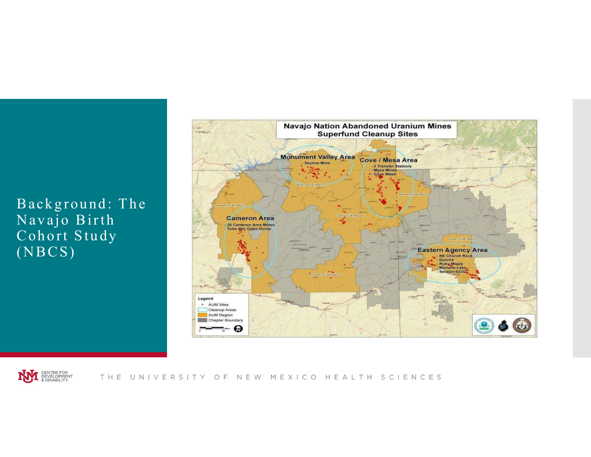



THE UNIVERSITY OF NEW MEXICO HEALTH SCIENCES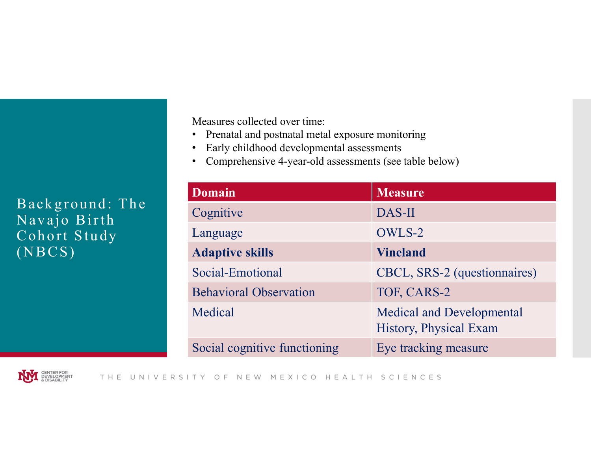- Prenatal and postnatal metal exposure monitoring
- Early childhood developmental assessments
- Comprehensive 4-year-old assessments (see table below)

| Background: The              | <b>Domain</b><br>Cognitive    | <b>Measure</b><br>DAS-II                                   |
|------------------------------|-------------------------------|------------------------------------------------------------|
| Navajo Birth<br>Cohort Study | Language                      | OWLS-2                                                     |
| $(\overline{\text{NBCS}})$   | <b>Adaptive skills</b>        | <b>Vineland</b>                                            |
|                              | Social-Emotional              | CBCL, SRS-2 (questionnaires)                               |
|                              |                               |                                                            |
|                              | <b>Behavioral Observation</b> | TOF, CARS-2                                                |
|                              | Medical                       | <b>Medical and Developmental</b><br>History, Physical Exam |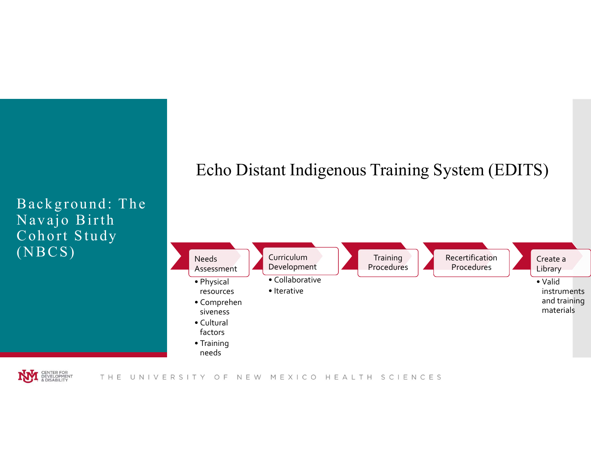

## Echo Distant Indigenous Training System (EDITS)



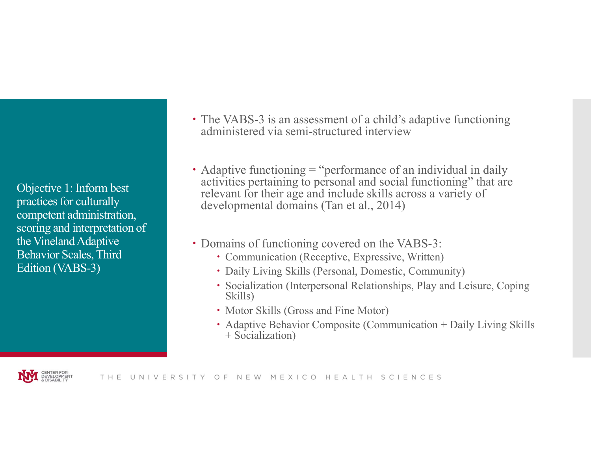Objective 1: Inform best practices for culturally competent administration, scoring and interpretation of the Vineland Adaptive Behavior Scales, Third Edition (VABS-3)

- The VABS-3 is an assessment of a child's adaptive functioning administered via semi-structured interview
- Adaptive functioning = "performance of an individual in daily activities pertaining to personal and social functioning" that are relevant for their age and include skills across a variety of developmental domains (Tan et al., 2014)
- Domains of functioning covered on the VABS-3:
	- Communication (Receptive, Expressive, Written)
	- Daily Living Skills (Personal, Domestic, Community)
	- Socialization (Interpersonal Relationships, Play and Leisure, Coping Skills)
	- Motor Skills (Gross and Fine Motor)
	- Adaptive Behavior Composite (Communication + Daily Living Skills + Socialization)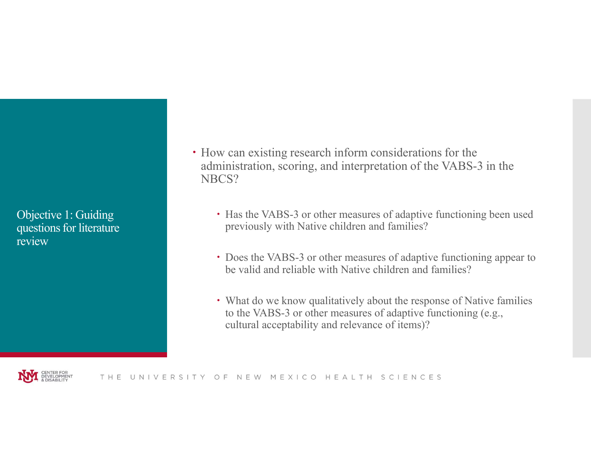Objective 1: Guiding questions for literature review

- How can existing research inform considerations for the administration, scoring, and interpretation of the VABS-3 in the NBCS?
	- Has the VABS-3 or other measures of adaptive functioning been used previously with Native children and families?
	- Does the VABS-3 or other measures of adaptive functioning appear to be valid and reliable with Native children and families?
	- What do we know qualitatively about the response of Native families to the VABS-3 or other measures of adaptive functioning (e.g., cultural acceptability and relevance of items)?

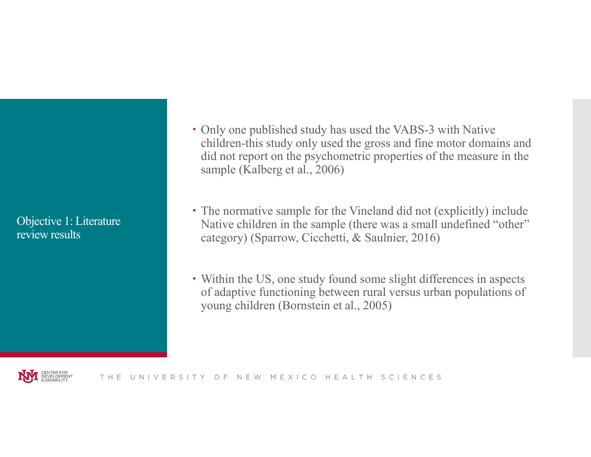Objective 1: Literature review results

- Only one published study has used the VABS-3 with Native children-this study only used the gross and fine motor domains and did not report on the psychometric properties of the measure in the Sample (Kalberg et al., 2006) **Composers** (Kalberg et al., 2006) **Composers** and fine motor domains and did not report on the psychometric properties of the measure in the sample (Kalberg et al., 2006) **Composers** (Kalber
- Native children in the sample (there was a small undefined "other" category) (Sparrow, Cicchetti, & Saulnier, 2016)
- Within the US, one study found some slight differences in aspects of adaptive functioning between rural versus urban populations of young children (Bornstein et al., 2005)

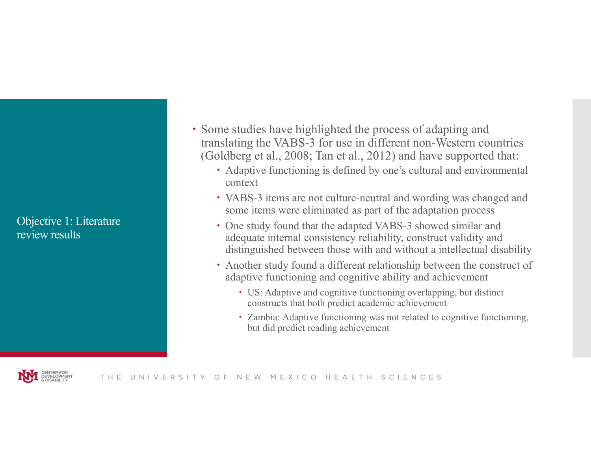Objective 1: Literature review results

- Some studies have highlighted the process of adapting and translating the VABS-3 for use in different non-Western countries (Goldberg et al., 2008; Tan et al., 2012) and have supported that:
	- Adaptive functioning is defined by one's cultural and environmental context
	- VABS-3 items are not culture-neutral and wording was changed and some items were eliminated as part of the adaptation process
	- One study found that the adapted VABS-3 showed similar and adequate internal consistency reliability, construct validity and distinguished between those with and without a intellectual disability
	- Another study found a different relationship between the construct of adaptive functioning and cognitive ability and achievement
		- US: Adaptive and cognitive functioning overlapping, but distinct constructs that both predict academic achievement
		- Zambia: Adaptive functioning was not related to cognitive functioning, but did predict reading achievement

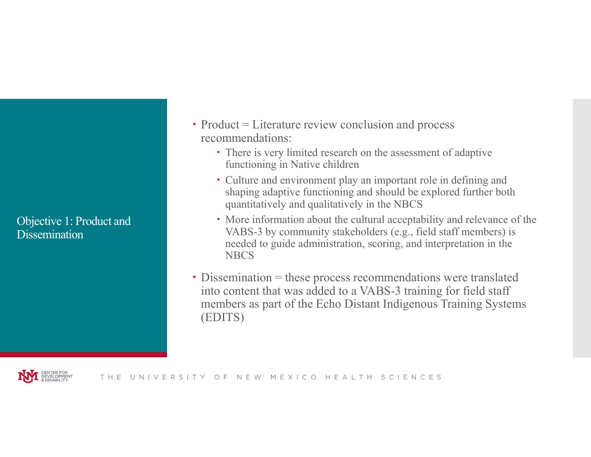Objective 1: Product and **Dissemination** 

- $\cdot$  Product = Literature review conclusion and process recommendations:
	- There is very limited research on the assessment of adaptive functioning in Native children
	- Culture and environment play an important role in defining and shaping adaptive functioning and should be explored further both quantitatively and qualitatively in the NBCS
	- More information about the cultural acceptability and relevance of the VABS-3 by community stakeholders (e.g., field staff members) is needed to guide administration, scoring, and interpretation in the **NBCS**
- Dissemination = these process recommendations were translated into content that was added to a VABS-3 training for field staff members as part of the Echo Distant Indigenous Training Systems (EDITS)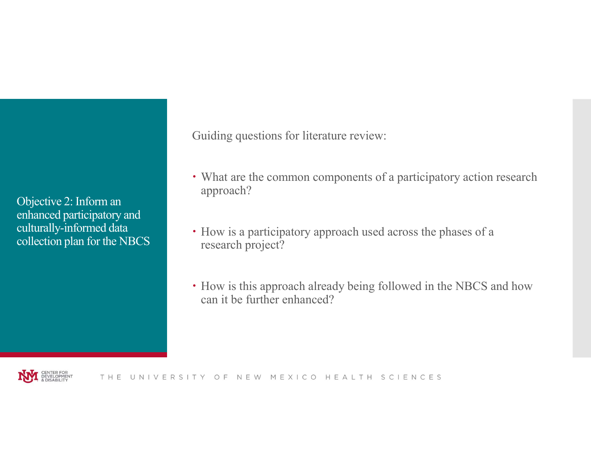Objective 2: Inform an enhanced participatory and culturally-informed data collection plan for the NBCS Guiding questions for literature review:

- What are the common components of a participatory action research approach?
- How is a participatory approach used across the phases of a research project?
- How is this approach already being followed in the NBCS and how can it be further enhanced?

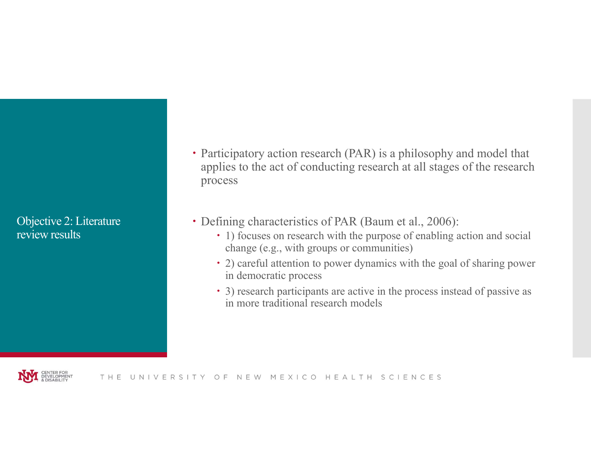Objective 2: Literature review results

- Participatory action research (PAR) is a philosophy and model that applies to the act of conducting research at all stages of the research process
- Defining characteristics of PAR (Baum et al., 2006):
	- 1) focuses on research with the purpose of enabling action and social change (e.g., with groups or communities)
	- 2) careful attention to power dynamics with the goal of sharing power in democratic process
	- 3) research participants are active in the process instead of passive as in more traditional research models

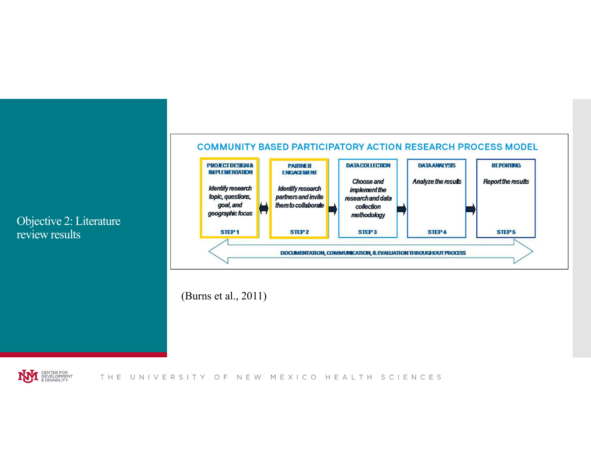## Objective 2: Literature review results



(Burns et al., 2011)

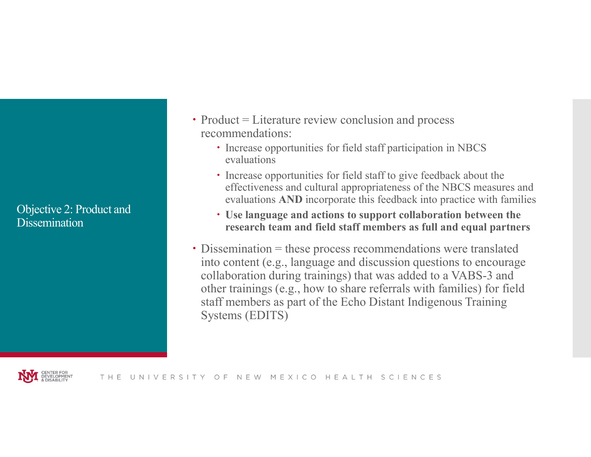Objective 2: Product and **Dissemination** 

- $\cdot$  Product = Literature review conclusion and process recommendations:
	- Increase opportunities for field staff participation in NBCS evaluations
	- Increase opportunities for field staff to give feedback about the effectiveness and cultural appropriateness of the NBCS measures and evaluations AND incorporate this feedback into practice with families
	- Use language and actions to support collaboration between the research team and field staff members as full and equal partners
- Dissemination = these process recommendations were translated into content (e.g., language and discussion questions to encourage collaboration during trainings) that was added to a VABS-3 and other trainings (e.g., how to share referrals with families) for field staff members as part of the Echo Distant Indigenous Training Systems (EDITS)

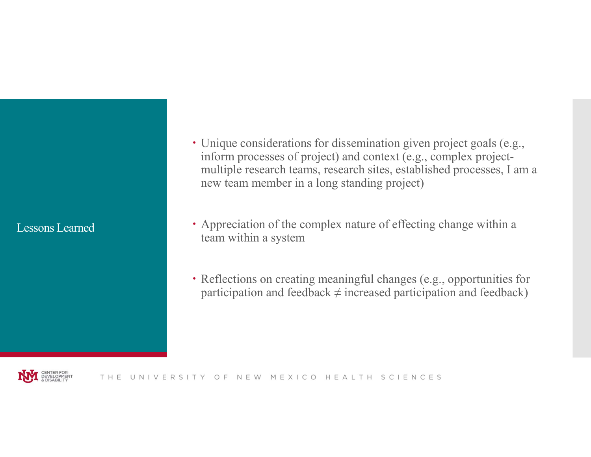### Lessons Learned

- Unique considerations for dissemination given project goals (e.g., inform processes of project) and context (e.g., complex projectmultiple research teams, research sites, established processes, I am a new team member in a long standing project)
- Appreciation of the complex nature of effecting change within a team within a system
- Reflections on creating meaningful changes (e.g., opportunities for participation and feedback  $\neq$  increased participation and feedback)

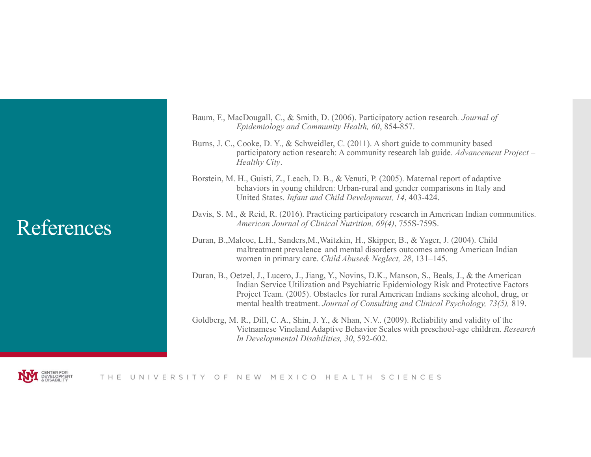## References

- Baum, F., MacDougall, C., & Smith, D. (2006). Participatory action research. Journal of Epidemiology and Community Health, 60, 854-857.
- Burns, J. C., Cooke, D. Y., & Schweidler, C. (2011). A short guide to community based participatory action research: A community research lab guide. Advancement Project – Healthy City.
- Borstein, M. H., Guisti, Z., Leach, D. B., & Venuti, P. (2005). Maternal report of adaptive behaviors in young children: Urban-rural and gender comparisons in Italy and United States. Infant and Child Development, 14, 403-424.
- Davis, S. M., & Reid, R. (2016). Practicing participatory research in American Indian communities. American Journal of Clinical Nutrition, 69(4), 755S-759S.
- Duran, B.,Malcoe, L.H., Sanders,M.,Waitzkin, H., Skipper, B., & Yager, J. (2004). Child maltreatment prevalence and mental disorders outcomes among American Indian women in primary care. Child Abuse& Neglect, 28, 131–145.
- Duran, B., Oetzel, J., Lucero, J., Jiang, Y., Novins, D.K., Manson, S., Beals, J., & the American Indian Service Utilization and Psychiatric Epidemiology Risk and Protective Factors Project Team. (2005). Obstacles for rural American Indians seeking alcohol, drug, or mental health treatment. Journal of Consulting and Clinical Psychology, 73(5), 819.
- Goldberg, M. R., Dill, C. A., Shin, J. Y., & Nhan, N.V.. (2009). Reliability and validity of the Vietnamese Vineland Adaptive Behavior Scales with preschool-age children. Research In Developmental Disabilities, 30, 592-602.



THE UNIVERSITY OF NEW MEXICO HEALTH SCIENCES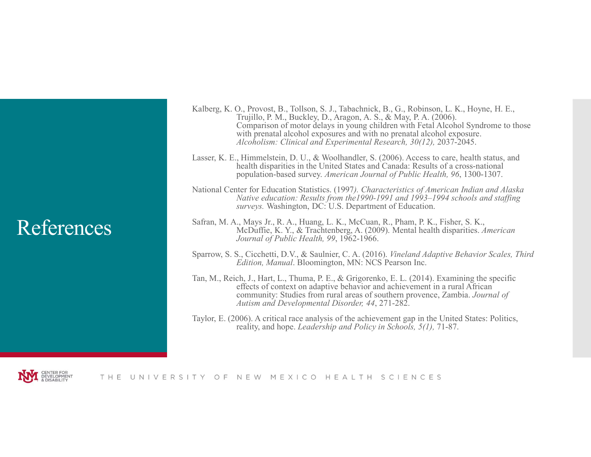## References

- Kalberg, K. O., Provost, B., Tollson, S. J., Tabachnick, B., G., Robinson, L. K., Hoyne, H. E., Trujillo, P. M., Buckley, D., Aragon, A. S., & May, P. A. (2006). Comparison of motor delays in young children with Fetal Alcohol Syndrome to those with prenatal alcohol exposures and with no prenatal alcohol exposure. Alcoholism: Clinical and Experimental Research, 30(12), 2037-2045.
- Lasser, K. E., Himmelstein, D. U., & Woolhandler, S. (2006). Access to care, health status, and health disparities in the United States and Canada: Results of a cross-national population-based survey. American Journal of Public Health, 96, 1300-1307.
- National Center for Education Statistics. (1997). Characteristics of American Indian and Alaska Native education: Results from the1990-1991 and 1993–1994 schools and staffing surveys. Washington, DC: U.S. Department of Education.
- Safran, M. A., Mays Jr., R. A., Huang, L. K., McCuan, R., Pham, P. K., Fisher, S. K., McDuffie, K. Y., & Trachtenberg, A. (2009). Mental health disparities. American Journal of Public Health, 99, 1962-1966.
- Sparrow, S. S., Cicchetti, D.V., & Saulnier, C. A. (2016). Vineland Adaptive Behavior Scales, Third Edition, Manual. Bloomington, MN: NCS Pearson Inc.
- Tan, M., Reich, J., Hart, L., Thuma, P. E., & Grigorenko, E. L. (2014). Examining the specific effects of context on adaptive behavior and achievement in a rural African community: Studies from rural areas of southern provence, Zambia. Journal of Autism and Developmental Disorder, 44, 271-282.
- Taylor, E. (2006). A critical race analysis of the achievement gap in the United States: Politics, reality, and hope. Leadership and Policy in Schools, 5(1), 71-87.

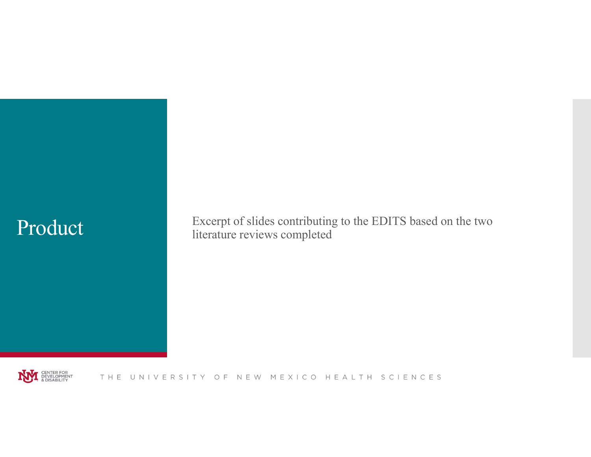Product Excerpt of slides contributing to the EDITS based on the two literature reviews completed

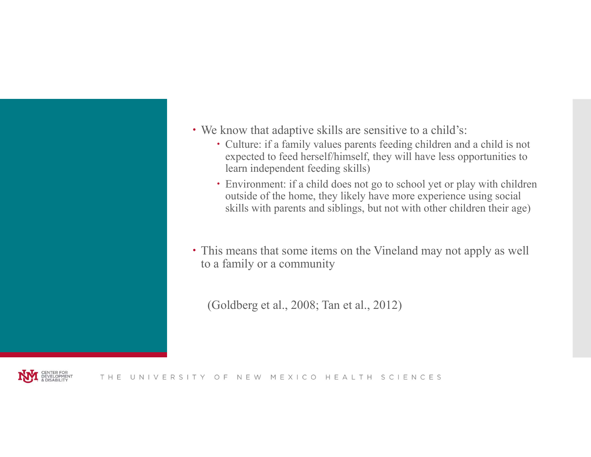

- Culture: if a family values parents feeding children and a child is not expected to feed herself/himself, they will have less opportunities to learn independent feeding skills)
- Environment: if a child does not go to school yet or play with children outside of the home, they likely have more experience using social skills with parents and siblings, but not with other children their age)
- This means that some items on the Vineland may not apply as well to a family or a community

(Goldberg et al., 2008; Tan et al., 2012)

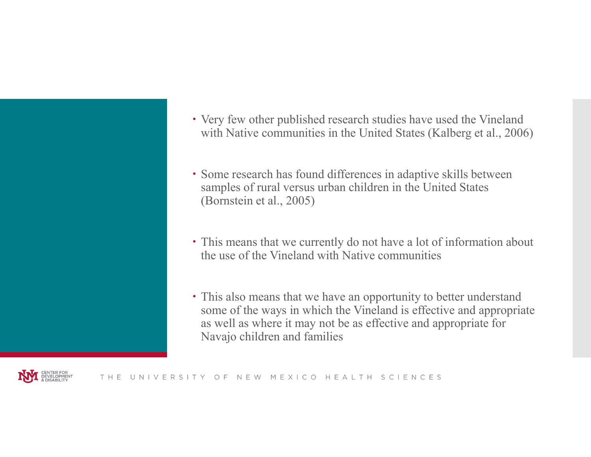- Very few other published research studies have used the Vineland Wery few other published research studies have used the Vineland<br>with Native communities in the United States (Kalberg et al., 2006)<br>Some research has found differences in adaptive skills between
- samples of rural versus urban children in the United States (Bornstein et al., 2005)
- This means that we currently do not have a lot of information about the use of the Vineland with Native communities
- This also means that we have an opportunity to better understand some of the ways in which the Vineland is effective and appropriate as well as where it may not be as effective and appropriate for Navajo children and families

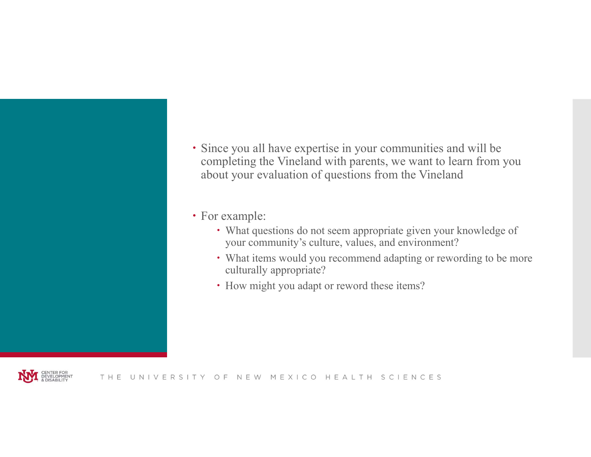

• For example:

- What questions do not seem appropriate given your knowledge of your community's culture, values, and environment?
- What items would you recommend adapting or rewording to be more culturally appropriate?
- How might you adapt or reword these items?